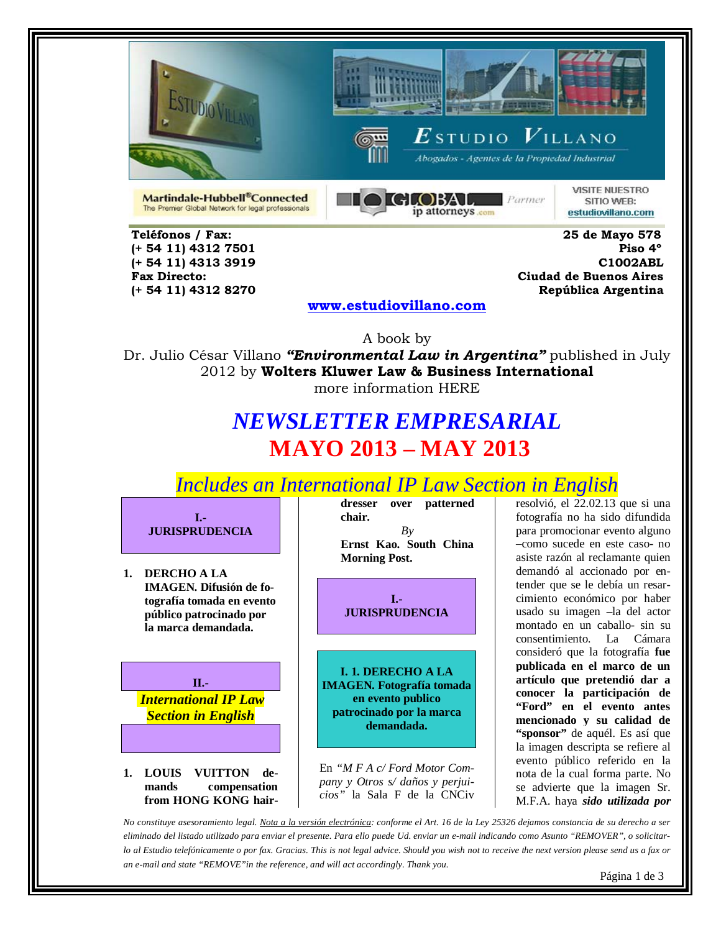





Abogados - Agentes de la Propiedad Industrial

Martindale-Hubbell®Connected The Premier Global Network for legal professionals



**VISITE NUESTRO** SITIO WEB: estudiovillano.com

 **Teléfonos / Fax: 25 de Mayo 578 (+ 54 11) 4312 7501** 

 **(+ 54 11) 4313 3919 C1002ABL Fax Directo: Ciudad de Buenos Aires (+ 54 11) 4312 8270 República Argentina** 

**[www.estudiovillano.com](http://www.estudiovillano.com/)**

A book by Dr. Julio César Villano *"Environmental Law in Argentina"* published in July 2012 by **Wolters Kluwer Law & Business International** more information HERE

# *NEWSLETTER EMPRESARIAL* **MAYO 2013 – MAY 2013**

*Includes an International IP Law Section in English* 



**1. DERCHO A LA IMAGEN. Difusión de fotografía tomada en evento público patrocinado por la marca demandada.**

**II.-** *International IP Law Section in English* 

**1. LOUIS VUITTON demands compensation from HONG KONG hair-** **dresser over patterned chair.** *By* **Ernst Kao. South China Morning Post.**

**I.- JURISPRUDENCIA**

**I. 1. DERECHO A LA IMAGEN. Fotografía tomada en evento publico patrocinado por la marca demandada.**

En *"M F A c/ Ford Motor Company y Otros s/ daños y perjuicios"* la Sala F de la CNCiv resolvió, el 22.02.13 que si una fotografía no ha sido difundida para promocionar evento alguno –como sucede en este caso- no asiste razón al reclamante quien demandó al accionado por entender que se le debía un resarcimiento económico por haber usado su imagen –la del actor montado en un caballo- sin su consentimiento. La Cámara consideró que la fotografía **fue publicada en el marco de un artículo que pretendió dar a conocer la participación de "Ford" en el evento antes mencionado y su calidad de "sponsor"** de aquél. Es así que la imagen descripta se refiere al evento público referido en la nota de la cual forma parte. No se advierte que la imagen Sr. M.F.A. haya *sido utilizada por* 

*No constituye asesoramiento legal. Nota a la versión electrónica: conforme el Art. 16 de la Ley 25326 dejamos constancia de su derecho a ser eliminado del listado utilizado para enviar el presente. Para ello puede Ud. enviar un e-mail indicando como Asunto "REMOVER", o solicitarlo al Estudio telefónicamente o por fax. Gracias. This is not legal advice. Should you wish not to receive the next version please send us a fax or an e-mail and state "REMOVE"in the reference, and will act accordingly. Thank you.*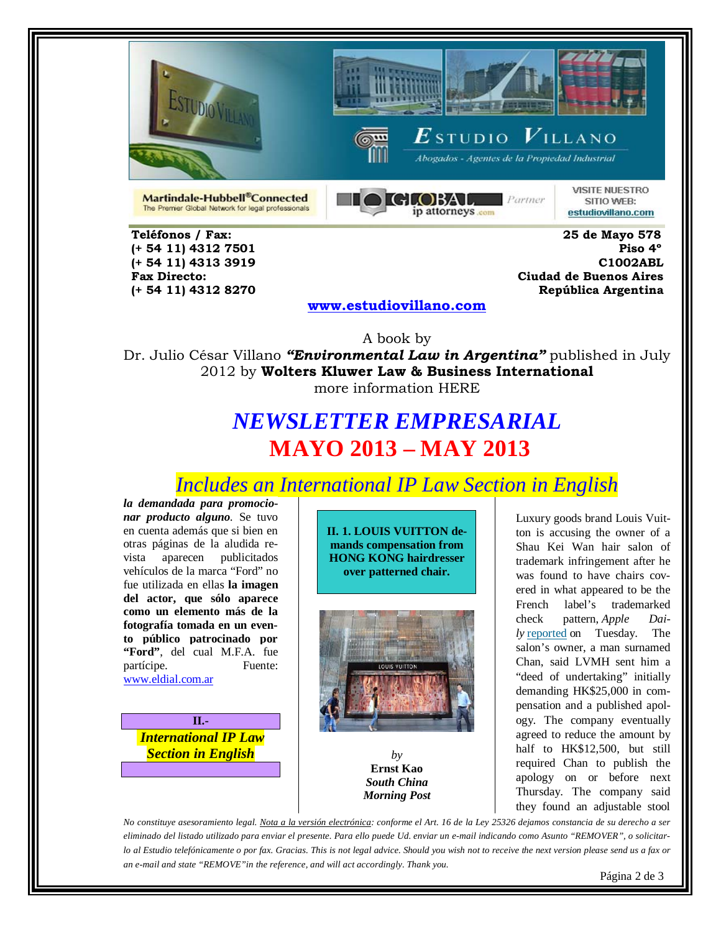





 $\boldsymbol{E}$ studio  $\boldsymbol{V}$ illano Abogados - Agentes de la Propiedad Industrial

Martindale-Hubbell®Connected The Premier Global Network for legal professionals



**VISITE NUESTRO** SITIO WEB: estudiovillano.com

 **Teléfonos / Fax: 25 de Mayo 578** 

 **(+ 54 11) 4312 7501 Piso 4º (+ 54 11) 4313 3919 C1002ABL Fax Directo: Ciudad de Buenos Aires (+ 54 11) 4312 8270 República Argentina** 

#### **[www.estudiovillano.com](http://www.estudiovillano.com/)**

A book by Dr. Julio César Villano *"Environmental Law in Argentina"* published in July 2012 by **Wolters Kluwer Law & Business International** more information HERE

## *NEWSLETTER EMPRESARIAL* **MAYO 2013 – MAY 2013**

*Includes an International IP Law Section in English* 

*la demandada para promocionar producto alguno*. Se tuvo en cuenta además que si bien en otras páginas de la aludida revista aparecen publicitados vehículos de la marca "Ford" no fue utilizada en ellas **la imagen del actor, que sólo aparece como un elemento más de la fotografía tomada en un evento público patrocinado por "Ford"**, del cual M.F.A. fue partícipe. Fuente: [www.eldial.com.ar](http://www.eldial.com.ar/)

**II.-** *International IP Law Section in English* 

**II. 1. LOUIS VUITTON demands compensation from HONG KONG hairdresser over patterned chair.**



*by* **Ernst Kao** *South China Morning Post*

Luxury goods brand Louis Vuitton is accusing the owner of a Shau Kei Wan hair salon of trademark infringement after he was found to have chairs covered in what appeared to be the French label's trademarked check pattern, *Apple Daily* [reported](http://www.sharpdaily.hk/article/news/20130305/179179/%E6%B8%AF%E4%BA%BA%E5%8D%83%E5%85%83%E8%A8%82%E9%80%A0%E8%80%81%E7%BF%BB%E5%87%B3-LV%E7%B4%A2%E5%84%9F2.5%E8%90%AC) on Tuesday. The salon's owner, a man surnamed Chan, said LVMH sent him a "deed of undertaking" initially demanding HK\$25,000 in compensation and a published apology. The company eventually agreed to reduce the amount by half to HK\$12,500, but still required Chan to publish the apology on or before next Thursday. The company said they found an adjustable stool

*No constituye asesoramiento legal. Nota a la versión electrónica: conforme el Art. 16 de la Ley 25326 dejamos constancia de su derecho a ser eliminado del listado utilizado para enviar el presente. Para ello puede Ud. enviar un e-mail indicando como Asunto "REMOVER", o solicitarlo al Estudio telefónicamente o por fax. Gracias. This is not legal advice. Should you wish not to receive the next version please send us a fax or an e-mail and state "REMOVE"in the reference, and will act accordingly. Thank you.*